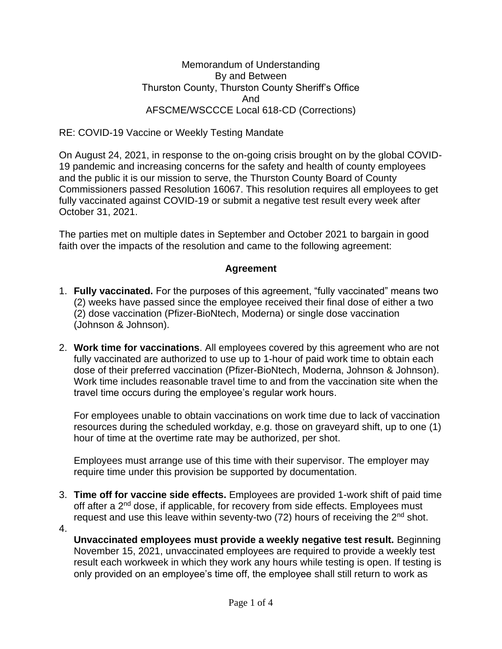Memorandum of Understanding By and Between Thurston County, Thurston County Sheriff's Office And AFSCME/WSCCCE Local 618-CD (Corrections)

RE: COVID-19 Vaccine or Weekly Testing Mandate

On August 24, 2021, in response to the on-going crisis brought on by the global COVID-19 pandemic and increasing concerns for the safety and health of county employees and the public it is our mission to serve, the Thurston County Board of County Commissioners passed Resolution 16067. This resolution requires all employees to get fully vaccinated against COVID-19 or submit a negative test result every week after October 31, 2021.

The parties met on multiple dates in September and October 2021 to bargain in good faith over the impacts of the resolution and came to the following agreement:

## **Agreement**

- 1. **Fully vaccinated.** For the purposes of this agreement, "fully vaccinated" means two (2) weeks have passed since the employee received their final dose of either a two (2) dose vaccination (Pfizer-BioNtech, Moderna) or single dose vaccination (Johnson & Johnson).
- 2. **Work time for vaccinations**. All employees covered by this agreement who are not fully vaccinated are authorized to use up to 1-hour of paid work time to obtain each dose of their preferred vaccination (Pfizer-BioNtech, Moderna, Johnson & Johnson). Work time includes reasonable travel time to and from the vaccination site when the travel time occurs during the employee's regular work hours.

For employees unable to obtain vaccinations on work time due to lack of vaccination resources during the scheduled workday, e.g. those on graveyard shift, up to one (1) hour of time at the overtime rate may be authorized, per shot.

Employees must arrange use of this time with their supervisor. The employer may require time under this provision be supported by documentation.

- 3. **Time off for vaccine side effects.** Employees are provided 1-work shift of paid time off after a 2<sup>nd</sup> dose, if applicable, for recovery from side effects. Employees must request and use this leave within seventy-two (72) hours of receiving the 2<sup>nd</sup> shot.
- 4.

**Unvaccinated employees must provide a weekly negative test result.** Beginning November 15, 2021, unvaccinated employees are required to provide a weekly test result each workweek in which they work any hours while testing is open. If testing is only provided on an employee's time off, the employee shall still return to work as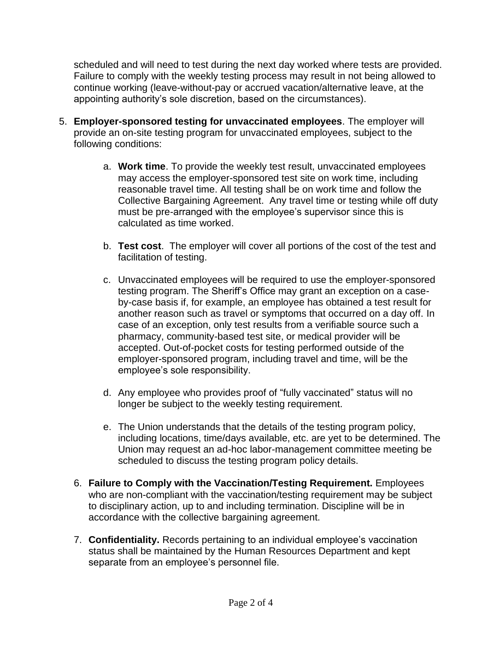scheduled and will need to test during the next day worked where tests are provided. Failure to comply with the weekly testing process may result in not being allowed to continue working (leave-without-pay or accrued vacation/alternative leave, at the appointing authority's sole discretion, based on the circumstances).

- 5. **Employer-sponsored testing for unvaccinated employees**. The employer will provide an on-site testing program for unvaccinated employees, subject to the following conditions:
	- a. **Work time**. To provide the weekly test result, unvaccinated employees may access the employer-sponsored test site on work time, including reasonable travel time. All testing shall be on work time and follow the Collective Bargaining Agreement. Any travel time or testing while off duty must be pre-arranged with the employee's supervisor since this is calculated as time worked.
	- b. **Test cost**. The employer will cover all portions of the cost of the test and facilitation of testing.
	- c. Unvaccinated employees will be required to use the employer-sponsored testing program. The Sheriff's Office may grant an exception on a caseby-case basis if, for example, an employee has obtained a test result for another reason such as travel or symptoms that occurred on a day off. In case of an exception, only test results from a verifiable source such a pharmacy, community-based test site, or medical provider will be accepted. Out-of-pocket costs for testing performed outside of the employer-sponsored program, including travel and time, will be the employee's sole responsibility.
	- d. Any employee who provides proof of "fully vaccinated" status will no longer be subject to the weekly testing requirement.
	- e. The Union understands that the details of the testing program policy, including locations, time/days available, etc. are yet to be determined. The Union may request an ad-hoc labor-management committee meeting be scheduled to discuss the testing program policy details.
	- 6. **Failure to Comply with the Vaccination/Testing Requirement.** Employees who are non-compliant with the vaccination/testing requirement may be subject to disciplinary action, up to and including termination. Discipline will be in accordance with the collective bargaining agreement.
	- 7. **Confidentiality.** Records pertaining to an individual employee's vaccination status shall be maintained by the Human Resources Department and kept separate from an employee's personnel file.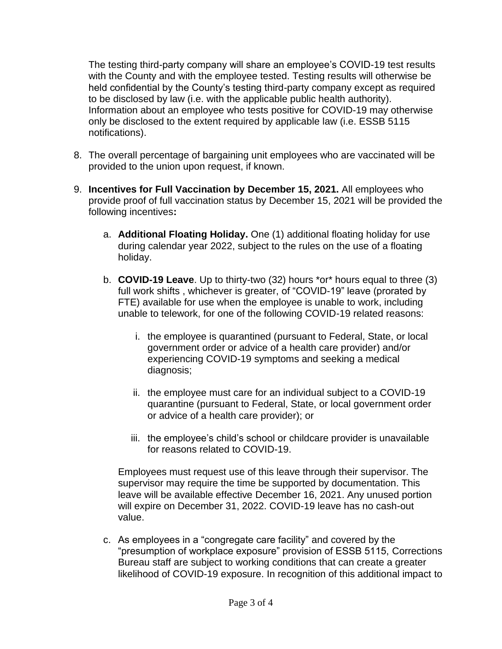The testing third-party company will share an employee's COVID-19 test results with the County and with the employee tested. Testing results will otherwise be held confidential by the County's testing third-party company except as required to be disclosed by law (i.e. with the applicable public health authority). Information about an employee who tests positive for COVID-19 may otherwise only be disclosed to the extent required by applicable law (i.e. ESSB 5115 notifications).

- 8. The overall percentage of bargaining unit employees who are vaccinated will be provided to the union upon request, if known.
- 9. **Incentives for Full Vaccination by December 15, 2021.** All employees who provide proof of full vaccination status by December 15, 2021 will be provided the following incentives**:** 
	- a. **Additional Floating Holiday.** One (1) additional floating holiday for use during calendar year 2022, subject to the rules on the use of a floating holiday.
	- b. **COVID-19 Leave**. Up to thirty-two (32) hours \*or\* hours equal to three (3) full work shifts , whichever is greater, of "COVID-19" leave (prorated by FTE) available for use when the employee is unable to work, including unable to telework, for one of the following COVID-19 related reasons:
		- i. the employee is quarantined (pursuant to Federal, State, or local government order or advice of a health care provider) and/or experiencing COVID-19 symptoms and seeking a medical diagnosis;
		- ii. the employee must care for an individual subject to a COVID-19 quarantine (pursuant to Federal, State, or local government order or advice of a health care provider); or
		- iii. the employee's child's school or childcare provider is unavailable for reasons related to COVID-19.

Employees must request use of this leave through their supervisor. The supervisor may require the time be supported by documentation. This leave will be available effective December 16, 2021. Any unused portion will expire on December 31, 2022. COVID-19 leave has no cash-out value.

c. As employees in a "congregate care facility" and covered by the "presumption of workplace exposure" provision of ESSB 5115, Corrections Bureau staff are subject to working conditions that can create a greater likelihood of COVID-19 exposure. In recognition of this additional impact to